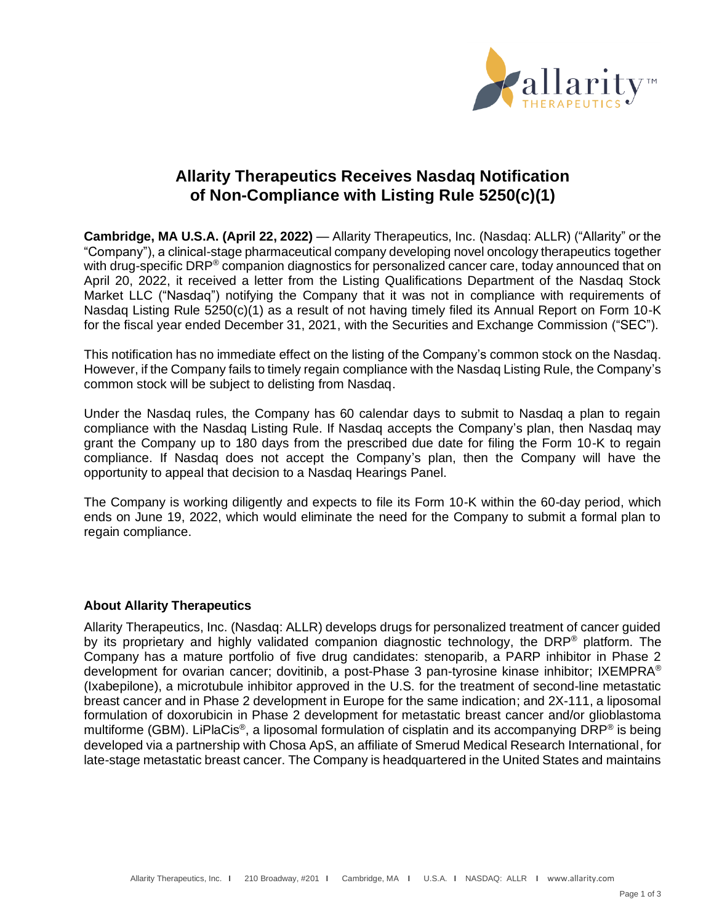

# **Allarity Therapeutics Receives Nasdaq Notification of Non-Compliance with Listing Rule 5250(c)(1)**

**Cambridge, MA U.S.A. (April 22, 2022)** — Allarity Therapeutics, Inc. (Nasdaq: ALLR) ("Allarity" or the "Company"), a clinical-stage pharmaceutical company developing novel oncology therapeutics together with drug-specific DRP<sup>®</sup> companion diagnostics for personalized cancer care, today announced that on April 20, 2022, it received a letter from the Listing Qualifications Department of the Nasdaq Stock Market LLC ("Nasdaq") notifying the Company that it was not in compliance with requirements of Nasdaq Listing Rule 5250(c)(1) as a result of not having timely filed its Annual Report on Form 10-K for the fiscal year ended December 31, 2021, with the Securities and Exchange Commission ("SEC").

This notification has no immediate effect on the listing of the Company's common stock on the Nasdaq. However, if the Company fails to timely regain compliance with the Nasdaq Listing Rule, the Company's common stock will be subject to delisting from Nasdaq.

Under the Nasdaq rules, the Company has 60 calendar days to submit to Nasdaq a plan to regain compliance with the Nasdaq Listing Rule. If Nasdaq accepts the Company's plan, then Nasdaq may grant the Company up to 180 days from the prescribed due date for filing the Form 10-K to regain compliance. If Nasdaq does not accept the Company's plan, then the Company will have the opportunity to appeal that decision to a Nasdaq Hearings Panel.

The Company is working diligently and expects to file its Form 10-K within the 60-day period, which ends on June 19, 2022, which would eliminate the need for the Company to submit a formal plan to regain compliance.

### **About Allarity Therapeutics**

Allarity Therapeutics, Inc. (Nasdaq: ALLR) develops drugs for personalized treatment of cancer guided by its proprietary and highly validated companion diagnostic technology, the DRP<sup>®</sup> platform. The Company has a mature portfolio of five drug candidates: stenoparib, a PARP inhibitor in Phase 2 development for ovarian cancer; dovitinib, a post-Phase 3 pan-tyrosine kinase inhibitor; IXEMPRA® (Ixabepilone), a microtubule inhibitor approved in the U.S. for the treatment of second-line metastatic breast cancer and in Phase 2 development in Europe for the same indication; and 2X-111, a liposomal formulation of doxorubicin in Phase 2 development for metastatic breast cancer and/or glioblastoma multiforme (GBM). LiPlaCis®, a liposomal formulation of cisplatin and its accompanying DRP® is being developed via a partnership with Chosa ApS, an affiliate of Smerud Medical Research International, for late-stage metastatic breast cancer. The Company is headquartered in the United States and maintains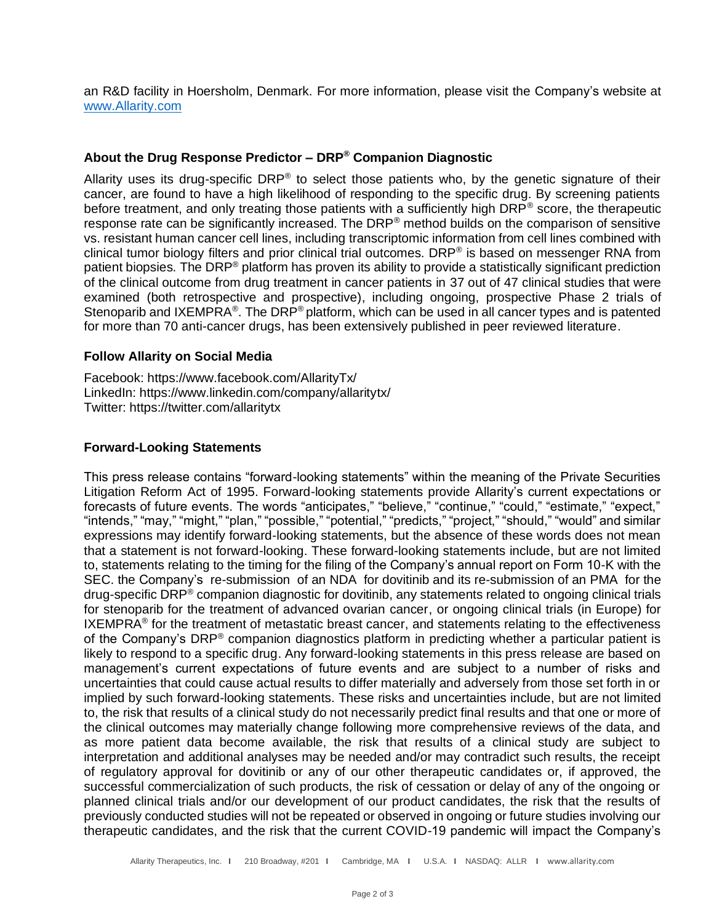an R&D facility in Hoersholm, Denmark. For more information, please visit the Company's website at [www.Allarity.com](http://www.allarity.com/)

## **About the Drug Response Predictor – DRP® Companion Diagnostic**

Allarity uses its drug-specific DRP® to select those patients who, by the genetic signature of their cancer, are found to have a high likelihood of responding to the specific drug. By screening patients before treatment, and only treating those patients with a sufficiently high DRP® score, the therapeutic response rate can be significantly increased. The DRP® method builds on the comparison of sensitive vs. resistant human cancer cell lines, including transcriptomic information from cell lines combined with clinical tumor biology filters and prior clinical trial outcomes. DRP® is based on messenger RNA from patient biopsies. The DRP® platform has proven its ability to provide a statistically significant prediction of the clinical outcome from drug treatment in cancer patients in 37 out of 47 clinical studies that were examined (both retrospective and prospective), including ongoing, prospective Phase 2 trials of Stenoparib and IXEMPRA®. The DRP® platform, which can be used in all cancer types and is patented for more than 70 anti-cancer drugs, has been extensively published in peer reviewed literature.

### **Follow Allarity on Social Media**

Facebook: https://www.facebook.com/AllarityTx/ LinkedIn: https://www.linkedin.com/company/allaritytx/ Twitter: https://twitter.com/allaritytx

## **Forward-Looking Statements**

This press release contains "forward-looking statements" within the meaning of the Private Securities Litigation Reform Act of 1995. Forward-looking statements provide Allarity's current expectations or forecasts of future events. The words "anticipates," "believe," "continue," "could," "estimate," "expect," "intends," "may," "might," "plan," "possible," "potential," "predicts," "project," "should," "would" and similar expressions may identify forward-looking statements, but the absence of these words does not mean that a statement is not forward-looking. These forward-looking statements include, but are not limited to, statements relating to the timing for the filing of the Company's annual report on Form 10-K with the SEC. the Company's re-submission of an NDA for dovitinib and its re-submission of an PMA for the drug-specific DRP® companion diagnostic for dovitinib, any statements related to ongoing clinical trials for stenoparib for the treatment of advanced ovarian cancer, or ongoing clinical trials (in Europe) for IXEMPRA<sup>®</sup> for the treatment of metastatic breast cancer, and statements relating to the effectiveness of the Company's DRP® companion diagnostics platform in predicting whether a particular patient is likely to respond to a specific drug. Any forward-looking statements in this press release are based on management's current expectations of future events and are subject to a number of risks and uncertainties that could cause actual results to differ materially and adversely from those set forth in or implied by such forward-looking statements. These risks and uncertainties include, but are not limited to, the risk that results of a clinical study do not necessarily predict final results and that one or more of the clinical outcomes may materially change following more comprehensive reviews of the data, and as more patient data become available, the risk that results of a clinical study are subject to interpretation and additional analyses may be needed and/or may contradict such results, the receipt of regulatory approval for dovitinib or any of our other therapeutic candidates or, if approved, the successful commercialization of such products, the risk of cessation or delay of any of the ongoing or planned clinical trials and/or our development of our product candidates, the risk that the results of previously conducted studies will not be repeated or observed in ongoing or future studies involving our therapeutic candidates, and the risk that the current COVID-19 pandemic will impact the Company's